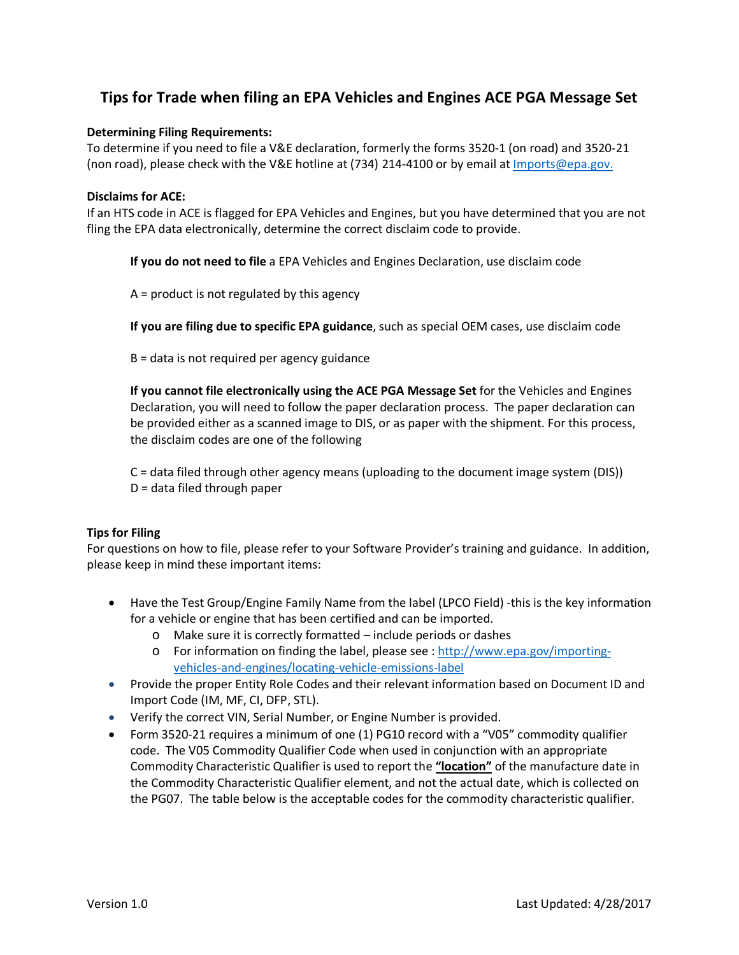## **Tips for Trade when filing an EPA Vehicles and Engines ACE PGA Message Set**

## **Determining Filing Requirements:**

To determine if you need to file a V&E declaration, formerly the forms 3520-1 (on road) and 3520-21 (non road), please check with the V&E hotline at (734) 214-4100 or by email at *Imports@epa.gov.* 

## **Disclaims for ACE:**

If an HTS code in ACE is flagged for EPA Vehicles and Engines, but you have determined that you are not fling the EPA data electronically, determine the correct disclaim code to provide.

**If you do not need to file** a EPA Vehicles and Engines Declaration, use disclaim code

A = product is not regulated by this agency

**If you are filing due to specific EPA guidance**, such as special OEM cases, use disclaim code

B = data is not required per agency guidance

**If you cannot file electronically using the ACE PGA Message Set** for the Vehicles and Engines Declaration, you will need to follow the paper declaration process. The paper declaration can be provided either as a scanned image to DIS, or as paper with the shipment. For this process, the disclaim codes are one of the following

C = data filed through other agency means (uploading to the document image system (DIS)) D = data filed through paper

## **Tips for Filing**

For questions on how to file, please refer to your Software Provider's training and guidance. In addition, please keep in mind these important items:

- Have the Test Group/Engine Family Name from the label (LPCO Field) -this is the key information for a vehicle or engine that has been certified and can be imported.
	- o Make sure it is correctly formatted include periods or dashes
	- o For information on finding the label, please see : [http://www.epa.gov/importing](http://www.epa.gov/importing-vehicles-and-engines/locating-vehicle-emissions-label)[vehicles-and-engines/locating-vehicle-emissions-label](http://www.epa.gov/importing-vehicles-and-engines/locating-vehicle-emissions-label)
- Provide the proper Entity Role Codes and their relevant information based on Document ID and Import Code (IM, MF, CI, DFP, STL).
- Verify the correct VIN, Serial Number, or Engine Number is provided.
- Form 3520-21 requires a minimum of one (1) PG10 record with a "V05" commodity qualifier code. The V05 Commodity Qualifier Code when used in conjunction with an appropriate Commodity Characteristic Qualifier is used to report the **"location"** of the manufacture date in the Commodity Characteristic Qualifier element, and not the actual date, which is collected on the PG07. The table below is the acceptable codes for the commodity characteristic qualifier.